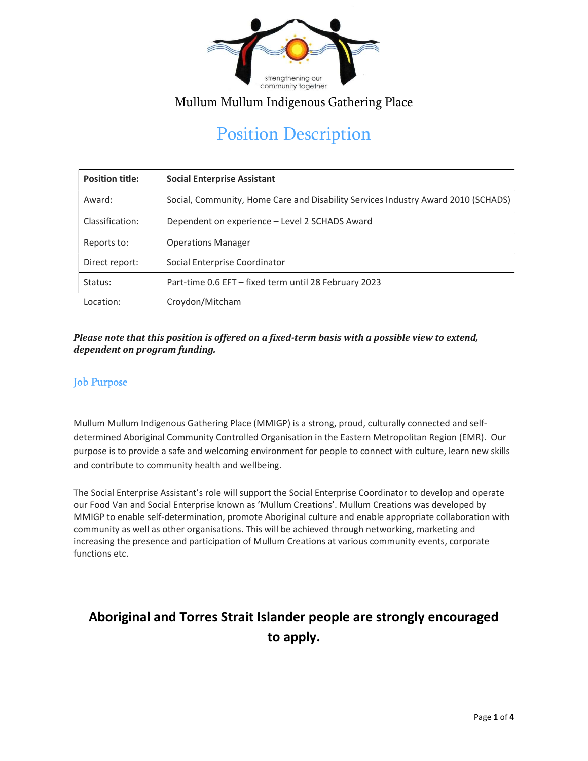

# Position Description

| <b>Position title:</b> | <b>Social Enterprise Assistant</b>                                                |
|------------------------|-----------------------------------------------------------------------------------|
| Award:                 | Social, Community, Home Care and Disability Services Industry Award 2010 (SCHADS) |
| Classification:        | Dependent on experience - Level 2 SCHADS Award                                    |
| Reports to:            | <b>Operations Manager</b>                                                         |
| Direct report:         | Social Enterprise Coordinator                                                     |
| Status:                | Part-time 0.6 EFT – fixed term until 28 February 2023                             |
| Location:              | Croydon/Mitcham                                                                   |

#### Please note that this position is offered on a fixed-term basis with a possible view to extend, dependent on program funding.

#### Job Purpose

Mullum Mullum Indigenous Gathering Place (MMIGP) is a strong, proud, culturally connected and selfdetermined Aboriginal Community Controlled Organisation in the Eastern Metropolitan Region (EMR). Our purpose is to provide a safe and welcoming environment for people to connect with culture, learn new skills and contribute to community health and wellbeing.

The Social Enterprise Assistant's role will support the Social Enterprise Coordinator to develop and operate our Food Van and Social Enterprise known as 'Mullum Creations'. Mullum Creations was developed by MMIGP to enable self-determination, promote Aboriginal culture and enable appropriate collaboration with community as well as other organisations. This will be achieved through networking, marketing and increasing the presence and participation of Mullum Creations at various community events, corporate functions etc.

## Aboriginal and Torres Strait Islander people are strongly encouraged to apply.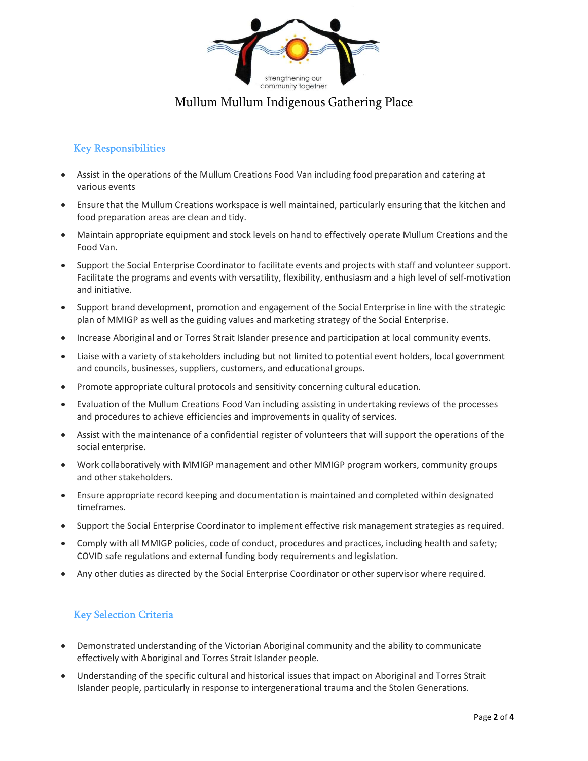

#### Key Responsibilities

- Assist in the operations of the Mullum Creations Food Van including food preparation and catering at various events
- Ensure that the Mullum Creations workspace is well maintained, particularly ensuring that the kitchen and food preparation areas are clean and tidy.
- Maintain appropriate equipment and stock levels on hand to effectively operate Mullum Creations and the Food Van.
- Support the Social Enterprise Coordinator to facilitate events and projects with staff and volunteer support. Facilitate the programs and events with versatility, flexibility, enthusiasm and a high level of self-motivation and initiative.
- Support brand development, promotion and engagement of the Social Enterprise in line with the strategic plan of MMIGP as well as the guiding values and marketing strategy of the Social Enterprise.
- **Increase Aboriginal and or Torres Strait Islander presence and participation at local community events.**
- Liaise with a variety of stakeholders including but not limited to potential event holders, local government and councils, businesses, suppliers, customers, and educational groups.
- Promote appropriate cultural protocols and sensitivity concerning cultural education.
- Evaluation of the Mullum Creations Food Van including assisting in undertaking reviews of the processes and procedures to achieve efficiencies and improvements in quality of services.
- Assist with the maintenance of a confidential register of volunteers that will support the operations of the social enterprise.
- Work collaboratively with MMIGP management and other MMIGP program workers, community groups and other stakeholders.
- Ensure appropriate record keeping and documentation is maintained and completed within designated timeframes.
- Support the Social Enterprise Coordinator to implement effective risk management strategies as required.
- Comply with all MMIGP policies, code of conduct, procedures and practices, including health and safety; COVID safe regulations and external funding body requirements and legislation.
- Any other duties as directed by the Social Enterprise Coordinator or other supervisor where required.

#### Key Selection Criteria

- Demonstrated understanding of the Victorian Aboriginal community and the ability to communicate effectively with Aboriginal and Torres Strait Islander people.
- Understanding of the specific cultural and historical issues that impact on Aboriginal and Torres Strait Islander people, particularly in response to intergenerational trauma and the Stolen Generations.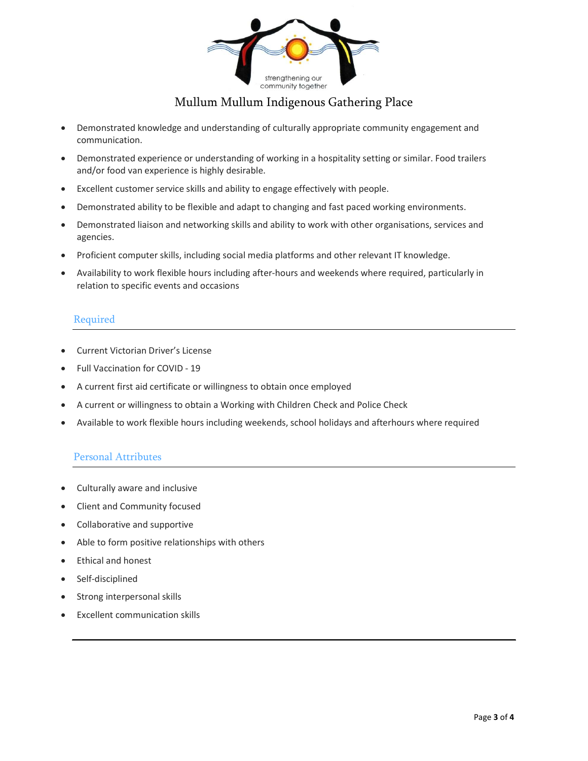

- Demonstrated knowledge and understanding of culturally appropriate community engagement and communication.
- Demonstrated experience or understanding of working in a hospitality setting or similar. Food trailers and/or food van experience is highly desirable.
- Excellent customer service skills and ability to engage effectively with people.
- Demonstrated ability to be flexible and adapt to changing and fast paced working environments.
- Demonstrated liaison and networking skills and ability to work with other organisations, services and agencies.
- Proficient computer skills, including social media platforms and other relevant IT knowledge.
- Availability to work flexible hours including after-hours and weekends where required, particularly in relation to specific events and occasions

#### Required

- Current Victorian Driver's License
- Full Vaccination for COVID 19
- A current first aid certificate or willingness to obtain once employed
- A current or willingness to obtain a Working with Children Check and Police Check
- Available to work flexible hours including weekends, school holidays and afterhours where required

#### Personal Attributes

- Culturally aware and inclusive
- Client and Community focused
- Collaborative and supportive
- Able to form positive relationships with others
- **Ethical and honest**
- Self-disciplined
- Strong interpersonal skills
- Excellent communication skills